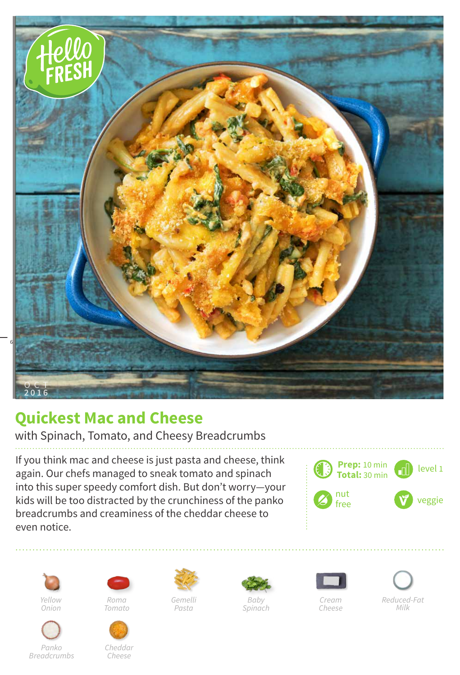

## **Quickest Mac and Cheese**

with Spinach, Tomato, and Cheesy Breadcrumbs

If you think mac and cheese is just pasta and cheese, think again. Our chefs managed to sneak tomato and spinach into this super speedy comfort dish. But don't worry—your kids will be too distracted by the crunchiness of the panko breadcrumbs and creaminess of the cheddar cheese to even notice.





*Panko Breadcrumbs*



*Tomato*



*Cheddar Cheese*



*Gemelli Pasta*



*Baby Spinach*



*Cheese*



*Reduced-Fat Milk*